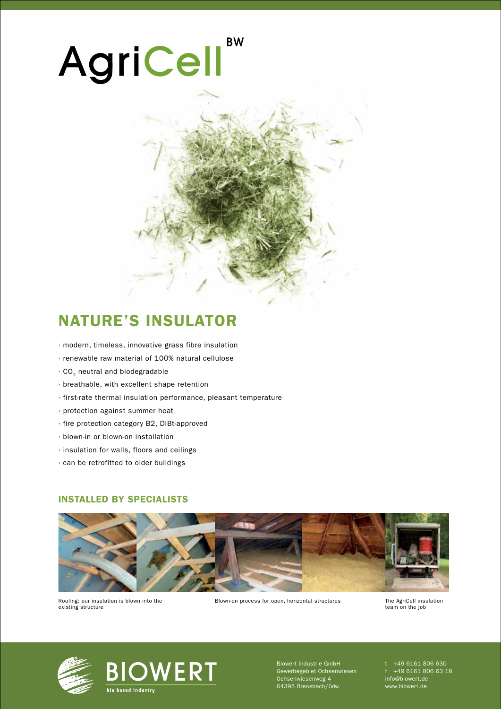# **BW** AgriCell

### NATURE'S INSULATOR

- · modern, timeless, innovative grass fibre insulation
- · renewable raw material of 100% natural cellulose
- $\cdot$  CO<sub>2</sub> neutral and biodegradable
- · breathable, with excellent shape retention
- · first-rate thermal insulation performance, pleasant temperature
- · protection against summer heat
- · fire protection category B2, DIBt-approved
- · blown-in or blown-on installation
- · insulation for walls, floors and ceilings
- · can be retrofitted to older buildings

#### INSTALLED BY SPECIALISTS



Roofing: our insulation is blown into the existing structure

Blown-on process for open, horizontal structures

The AgriCell insulation<br>team on the job



**BIOWERT** bio based industry

Biowert Industrie GmbH Gewerbegebiet Ochsenwiesen Ochsenwiesenweg 4 64395 Brensbach/Odw.

t +49 6161 806 630 f +49 6161 806 63 18 info@biowert.de www.biowert.de